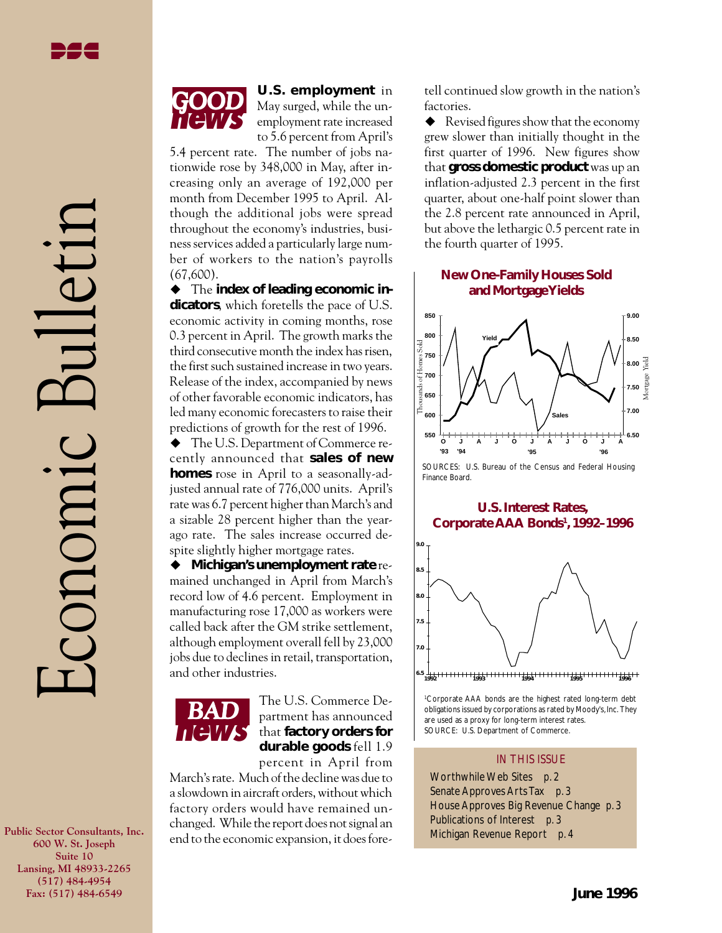**Public Sector Consultants, Inc. 600 W. St. Joseph Suite 10 Lansing, MI 48933-2265 (517) 484-4954 Fax: (517) 484-6549**



**U.S. employment** in May surged, while the unemployment rate increased to 5.6 percent from April's

5.4 percent rate. The number of jobs nationwide rose by 348,000 in May, after increasing only an average of 192,000 per month from December 1995 to April. Although the additional jobs were spread throughout the economy's industries, business services added a particularly large number of workers to the nation's payrolls (67,600).

 $\blacklozenge$  The **index of leading economic indicators**, which foretells the pace of U.S. economic activity in coming months, rose 0.3 percent in April. The growth marks the third consecutive month the index has risen, the first such sustained increase in two years. Release of the index, accompanied by news of other favorable economic indicators, has led many economic forecasters to raise their predictions of growth for the rest of 1996.

 $\blacklozenge$  The U.S. Department of Commerce recently announced that **sales of new homes** rose in April to a seasonally-adjusted annual rate of 776,000 units. April's rate was 6.7 percent higher than March's and a sizable 28 percent higher than the yearago rate. The sales increase occurred despite slightly higher mortgage rates.

◆ Michigan's unemployment rate remained unchanged in April from March's record low of 4.6 percent. Employment in manufacturing rose 17,000 as workers were called back after the GM strike settlement, although employment overall fell by 23,000 jobs due to declines in retail, transportation, and other industries.



**BAD** The U.S. Commerce Dethat **factory orders for durable goods** fell 1.9

percent in April from March's rate. Much of the decline was due to a slowdown in aircraft orders, without which factory orders would have remained unchanged. While the report does not signal an end to the economic expansion, it does foretell continued slow growth in the nation's factories.

 $\blacklozenge$  Revised figures show that the economy grew slower than initially thought in the first quarter of 1996. New figures show that **gross domestic product** was up an inflation-adjusted 2.3 percent in the first quarter, about one-half point slower than the 2.8 percent rate announced in April, but above the lethargic 0.5 percent rate in the fourth quarter of 1995.

## **New One-Family Houses Sold and Mortgage Yields**



SOURCES: U.S. Bureau of the Census and Federal Housing Finance Board.

#### **U.S. Interest Rates, Corporate AAA Bonds1 , 1992–1996**



1 Corporate AAA bonds are the highest rated long-term debt obligations issued by corporations as rated by Moody's, Inc. They are used as a proxy for long-term interest rates. SOURCE: U.S. Department of Commerce.

#### IN THIS ISSUE

Worthwhile Web Sites *p. 2* Senate Approves Arts Tax *p. 3* House Approves Big Revenue Change *p. 3* Publications of Interest *p. 3* Michigan Revenue Report *p. 4*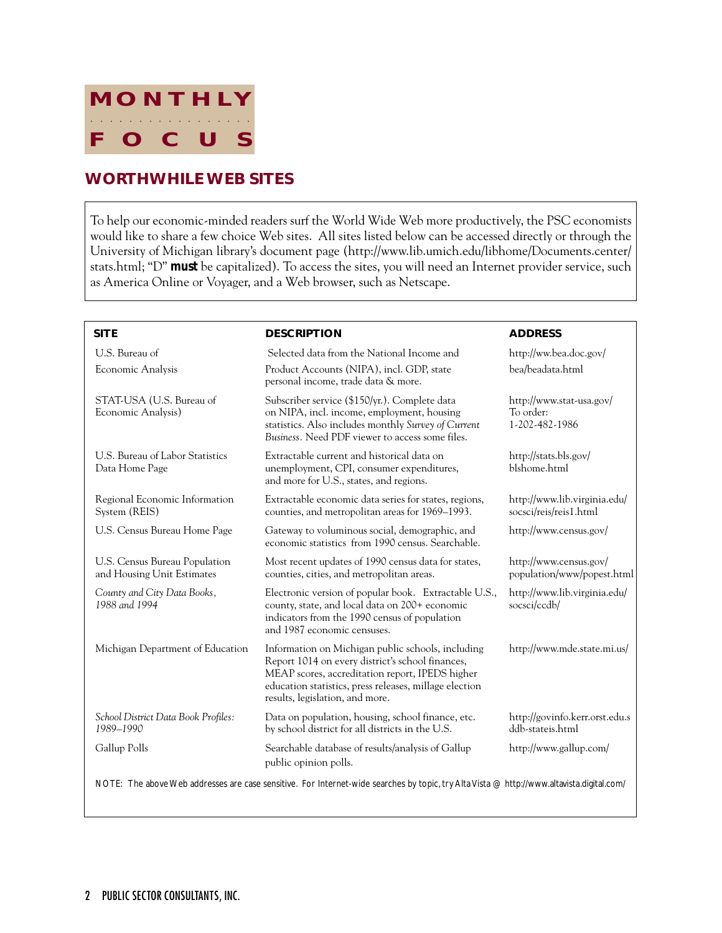

# **WORTHWHILE WEB SITES**

To help our economic-minded readers surf the World Wide Web more productively, the PSC economists would like to share a few choice Web sites. All sites listed below can be accessed directly or through the University of Michigan library's document page (http://www.lib.umich.edu/libhome/Documents.center/ stats.html; "D" *must* be capitalized). To access the sites, you will need an Internet provider service, such as America Online or Voyager, and a Web browser, such as Netscape.

| <b>SITE</b>                                                                                                                               | <b>DESCRIPTION</b>                                                                                                                                                                                                                                    | <b>ADDRESS</b>                                          |  |  |  |  |
|-------------------------------------------------------------------------------------------------------------------------------------------|-------------------------------------------------------------------------------------------------------------------------------------------------------------------------------------------------------------------------------------------------------|---------------------------------------------------------|--|--|--|--|
| U.S. Bureau of                                                                                                                            | Selected data from the National Income and                                                                                                                                                                                                            | http://ww.bea.doc.gov/                                  |  |  |  |  |
| Economic Analysis                                                                                                                         | Product Accounts (NIPA), incl. GDP, state<br>personal income, trade data & more.                                                                                                                                                                      | bea/beadata.html                                        |  |  |  |  |
| STAT-USA (U.S. Bureau of<br>Economic Analysis)                                                                                            | Subscriber service (\$150/yr.). Complete data<br>on NIPA, incl. income, employment, housing<br>statistics. Also includes monthly Survey of Current<br>Business. Need PDF viewer to access some files.                                                 | http://www.stat-usa.gov/<br>To order:<br>1-202-482-1986 |  |  |  |  |
| U.S. Bureau of Labor Statistics<br>Data Home Page                                                                                         | Extractable current and historical data on<br>unemployment, CPI, consumer expenditures,<br>and more for U.S., states, and regions.                                                                                                                    | http://stats.bls.gov/<br>blshome.html                   |  |  |  |  |
| Regional Economic Information<br>System (REIS)                                                                                            | Extractable economic data series for states, regions,<br>counties, and metropolitan areas for 1969–1993.                                                                                                                                              | http://www.lib.virginia.edu/<br>socsci/reis/reis1.html  |  |  |  |  |
| U.S. Census Bureau Home Page                                                                                                              | Gateway to voluminous social, demographic, and<br>economic statistics from 1990 census. Searchable.                                                                                                                                                   | http://www.census.gov/                                  |  |  |  |  |
| U.S. Census Bureau Population<br>and Housing Unit Estimates                                                                               | Most recent updates of 1990 census data for states,<br>counties, cities, and metropolitan areas.                                                                                                                                                      | http://www.census.gov/<br>population/www/popest.html    |  |  |  |  |
| County and City Data Books,<br>1988 and 1994                                                                                              | Electronic version of popular book. Extractable U.S.,<br>county, state, and local data on 200+ economic<br>indicators from the 1990 census of population<br>and 1987 economic censuses.                                                               | http://www.lib.virginia.edu/<br>socsci/ccdb/            |  |  |  |  |
| Michigan Department of Education                                                                                                          | Information on Michigan public schools, including<br>Report 1014 on every district's school finances,<br>MEAP scores, accreditation report, IPEDS higher<br>education statistics, press releases, millage election<br>results, legislation, and more. | http://www.mde.state.mi.us/                             |  |  |  |  |
| School District Data Book Profiles:<br>1989-1990                                                                                          | Data on population, housing, school finance, etc.<br>by school district for all districts in the U.S.                                                                                                                                                 | http://govinfo.kerr.orst.edu.s<br>ddb-stateis.html      |  |  |  |  |
| Gallup Polls                                                                                                                              | Searchable database of results/analysis of Gallup<br>public opinion polls.                                                                                                                                                                            | http://www.gallup.com/                                  |  |  |  |  |
| NOTE: The above Web addresses are case sensitive. For Internet-wide searches by topic, try Alta Vista @ http://www.altavista.digital.com/ |                                                                                                                                                                                                                                                       |                                                         |  |  |  |  |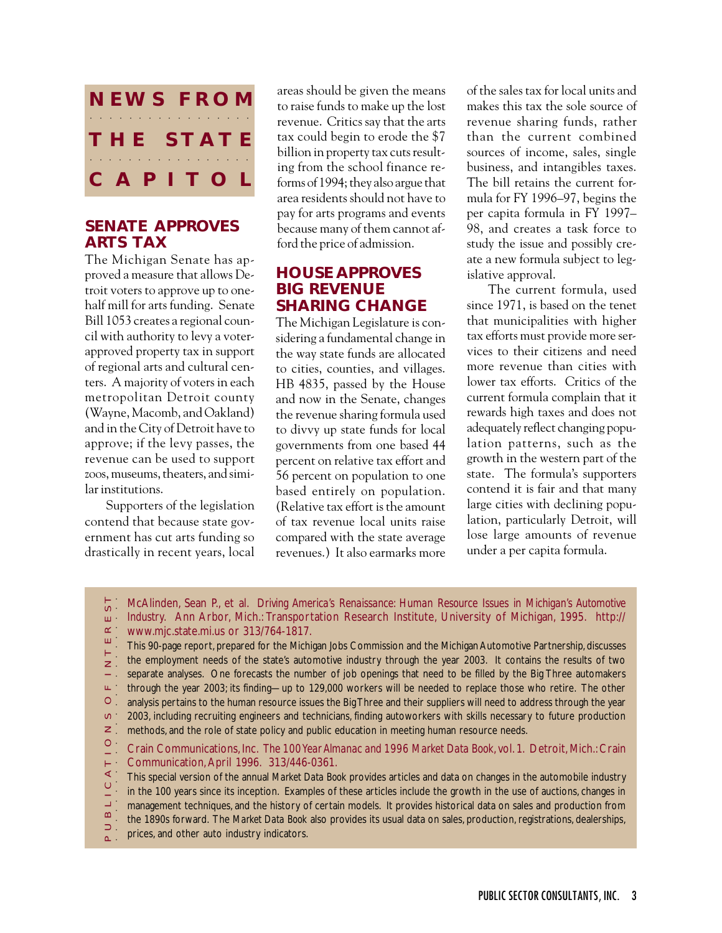

## **SENATE APPROVES ARTS TAX**

The Michigan Senate has approved a measure that allows Detroit voters to approve up to onehalf mill for arts funding. Senate Bill 1053 creates a regional council with authority to levy a voterapproved property tax in support of regional arts and cultural centers. A majority of voters in each metropolitan Detroit county (Wayne, Macomb, and Oakland) and in the City of Detroit have to approve; if the levy passes, the revenue can be used to support zoos, museums, theaters, and similar institutions.

Supporters of the legislation contend that because state government has cut arts funding so drastically in recent years, local areas should be given the means to raise funds to make up the lost revenue. Critics say that the arts tax could begin to erode the \$7 billion in property tax cuts resulting from the school finance reforms of 1994; they also argue that area residents should not have to pay for arts programs and events because many of them cannot afford the price of admission.

## **HOUSE APPROVES BIG REVENUE SHARING CHANGE**

The Michigan Legislature is considering a fundamental change in the way state funds are allocated to cities, counties, and villages. HB 4835, passed by the House and now in the Senate, changes the revenue sharing formula used to divvy up state funds for local governments from one based 44 percent on relative tax effort and 56 percent on population to one based entirely on population. (Relative tax effort is the amount of tax revenue local units raise compared with the state average revenues.) It also earmarks more

of the sales tax for local units and makes this tax the sole source of revenue sharing funds, rather than the current combined sources of income, sales, single business, and intangibles taxes. The bill retains the current formula for FY 1996–97, begins the per capita formula in FY 1997– 98, and creates a task force to study the issue and possibly create a new formula subject to legislative approval.

The current formula, used since 1971, is based on the tenet that municipalities with higher tax efforts must provide more services to their citizens and need more revenue than cities with lower tax efforts. Critics of the current formula complain that it rewards high taxes and does not adequately reflect changing population patterns, such as the growth in the western part of the state. The formula's supporters contend it is fair and that many large cities with declining population, particularly Detroit, will lose large amounts of revenue under a per capita formula.

McAlinden, Sean P., et al. *Driving America's Renaissance: Human Resource Issues in Michigan's Automotive*  $\infty$ 

- *Industry.* Ann Arbor, Mich.: Transportation Research Institute, University of Michigan, 1995. http://
- $\approx$  www.mjc.state.mi.us or 313/764-1817. ш

P U B L I C A T I O N S O F I N T E R E S T aaaaaaaaaaaaaaaaaaaaaaaaaa This 90-page report, prepared for the Michigan Jobs Commission and the Michigan Automotive Partnership, discusses the employment needs of the state's automotive industry through the year 2003. It contains the results of two  $\mathsf{z}$  . separate analyses. One forecasts the number of job openings that need to be filled by the Big Three automakers  $\omega$  ' through the year 2003; its finding—up to 129,000 workers will be needed to replace those who retire. The other  $\bullet$  . analysis pertains to the human resource issues the Big Three and their suppliers will need to address through the year  $\infty$ 2003, including recruiting engineers and technicians, finding autoworkers with skills necessary to future production  $\geq$  . methods, and the role of state policy and public education in meeting human resource needs.

 $\circ$ Crain Communications, Inc. *The 100 Year Almanac and 1996 Market Data Book*, vol. 1. Detroit, Mich.: Crain  $\overline{\Box}$ Communication, April 1996. 313/446-0361.

 $\prec$ This special version of the annual *Market Data Book* provides articles and data on changes in the automobile industry  $\circ$  . in the 100 years since its inception. Examples of these articles include the growth in the use of auctions, changes in  $\exists$  : management techniques, and the history of certain models. It provides historical data on sales and production from  $\infty$ the 1890s forward. The *Market Data Book* also provides its usual data on sales, production, registrations, dealerships,

 $\supset$ . prices, and other auto industry indicators.  $\sim$  .